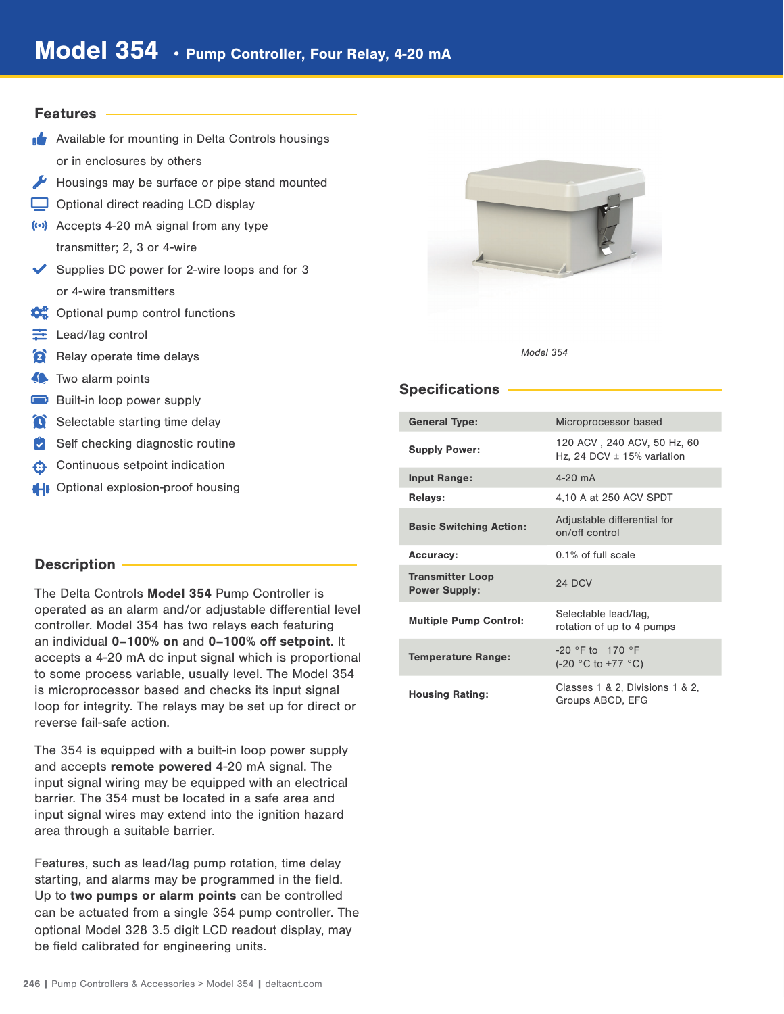### **Features**

- **Available for mounting in Delta Controls housings** or in enclosures by others
- Housings may be surface or pipe stand mounted
- Optional direct reading LCD display
- (··) Accepts 4-20 mA signal from any type transmitter; 2, 3 or 4-wire
- Supplies DC power for 2-wire loops and for  $3$ or 4-wire transmitters
- $\mathbf{\Omega}_{\mathrm{g}}^{\mathrm{o}}$  Optional pump control functions
- $\equiv$  Lead/lag control
- **Relay operate time delays**
- **Two alarm points**
- Built-in loop power supply
- Selectable starting time delay
- $\triangleright$  Self checking diagnostic routine
- Continuous setpoint indication
- **IHI** Optional explosion-proof housing

# Description

The Delta Controls Model 354 Pump Controller is operated as an alarm and/or adjustable differential level controller. Model 354 has two relays each featuring an individual 0–100% on and 0–100% off setpoint. It accepts a 4-20 mA dc input signal which is proportional to some process variable, usually level. The Model 354 is microprocessor based and checks its input signal loop for integrity. The relays may be set up for direct or reverse fail-safe action.

The 354 is equipped with a built-in loop power supply and accepts remote powered 4-20 mA signal. The input signal wiring may be equipped with an electrical barrier. The 354 must be located in a safe area and input signal wires may extend into the ignition hazard area through a suitable barrier.

Features, such as lead/lag pump rotation, time delay starting, and alarms may be programmed in the field. Up to two pumps or alarm points can be controlled can be actuated from a single 354 pump controller. The optional Model 328 3.5 digit LCD readout display, may be field calibrated for engineering units.



#### Model 354

## Specifications

| <b>General Type:</b>                            | Microprocessor based                                          |
|-------------------------------------------------|---------------------------------------------------------------|
| <b>Supply Power:</b>                            | 120 ACV, 240 ACV, 50 Hz, 60<br>Hz, 24 DCV $\pm$ 15% variation |
| <b>Input Range:</b>                             | $4 - 20$ mA                                                   |
| <b>Relays:</b>                                  | 4,10 A at 250 ACV SPDT                                        |
| <b>Basic Switching Action:</b>                  | Adjustable differential for<br>on/off control                 |
| <b>Accuracy:</b>                                | $0.1\%$ of full scale                                         |
| <b>Transmitter Loop</b><br><b>Power Supply:</b> | 24 DCV                                                        |
| <b>Multiple Pump Control:</b>                   | Selectable lead/lag,<br>rotation of up to 4 pumps             |
| <b>Temperature Range:</b>                       | $-20$ °F to $+170$ °F<br>$(-20 °C to +77 °C)$                 |
| <b>Housing Rating:</b>                          | Classes 1 & 2, Divisions 1 & 2,<br>Groups ABCD, EFG           |